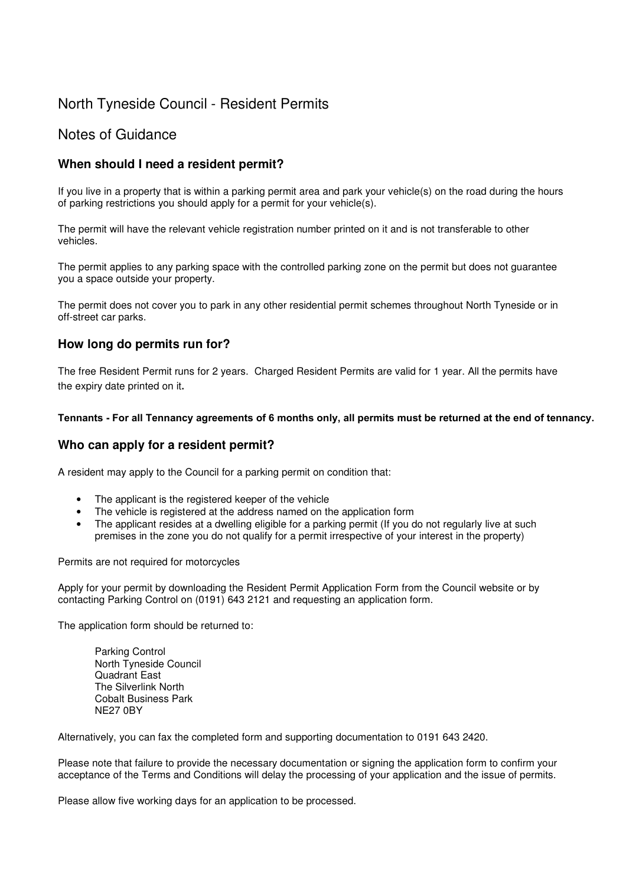# North Tyneside Council - Resident Permits

# Notes of Guidance

# **When should I need a resident permit?**

If you live in a property that is within a parking permit area and park your vehicle(s) on the road during the hours of parking restrictions you should apply for a permit for your vehicle(s).

The permit will have the relevant vehicle registration number printed on it and is not transferable to other vehicles.

The permit applies to any parking space with the controlled parking zone on the permit but does not guarantee you a space outside your property.

The permit does not cover you to park in any other residential permit schemes throughout North Tyneside or in off-street car parks.

## **How long do permits run for?**

The free Resident Permit runs for 2 years. Charged Resident Permits are valid for 1 year. All the permits have the expiry date printed on it**.**

#### **Tennants - For all Tennancy agreements of 6 months only, all permits must be returned at the end of tennancy.**

### **Who can apply for a resident permit?**

A resident may apply to the Council for a parking permit on condition that:

- The applicant is the registered keeper of the vehicle
- The vehicle is registered at the address named on the application form
- The applicant resides at a dwelling eligible for a parking permit (If you do not regularly live at such premises in the zone you do not qualify for a permit irrespective of your interest in the property)

Permits are not required for motorcycles

Apply for your permit by downloading the Resident Permit Application Form from the Council website or by contacting Parking Control on (0191) 643 2121 and requesting an application form.

The application form should be returned to:

Parking Control North Tyneside Council Quadrant East The Silverlink North Cobalt Business Park NE27 0BY

Alternatively, you can fax the completed form and supporting documentation to 0191 643 2420.

Please note that failure to provide the necessary documentation or signing the application form to confirm your acceptance of the Terms and Conditions will delay the processing of your application and the issue of permits.

Please allow five working days for an application to be processed.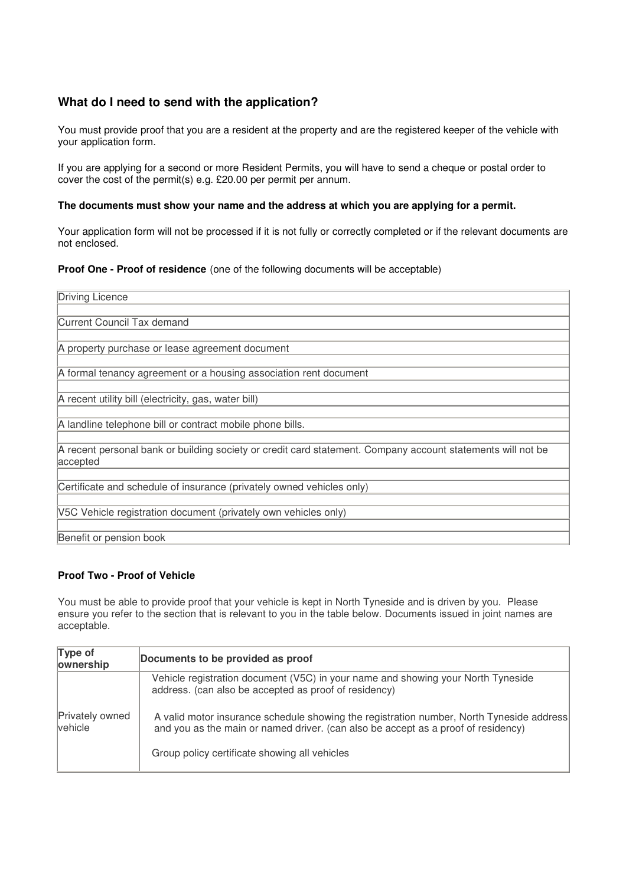# **What do I need to send with the application?**

You must provide proof that you are a resident at the property and are the registered keeper of the vehicle with your application form.

If you are applying for a second or more Resident Permits, you will have to send a cheque or postal order to cover the cost of the permit(s) e.g. £20.00 per permit per annum.

#### **The documents must show your name and the address at which you are applying for a permit.**

Your application form will not be processed if it is not fully or correctly completed or if the relevant documents are not enclosed.

#### **Proof One - Proof of residence** (one of the following documents will be acceptable)

| Driving Licence                                                                                                         |  |  |
|-------------------------------------------------------------------------------------------------------------------------|--|--|
|                                                                                                                         |  |  |
| Current Council Tax demand                                                                                              |  |  |
|                                                                                                                         |  |  |
| A property purchase or lease agreement document                                                                         |  |  |
|                                                                                                                         |  |  |
| A formal tenancy agreement or a housing association rent document                                                       |  |  |
| A recent utility bill (electricity, gas, water bill)                                                                    |  |  |
|                                                                                                                         |  |  |
| A landline telephone bill or contract mobile phone bills.                                                               |  |  |
| A recent personal bank or building society or credit card statement. Company account statements will not be<br>accepted |  |  |
| Certificate and schedule of insurance (privately owned vehicles only)                                                   |  |  |
| V5C Vehicle registration document (privately own vehicles only)                                                         |  |  |
| Benefit or pension book                                                                                                 |  |  |

#### **Proof Two - Proof of Vehicle**

You must be able to provide proof that your vehicle is kept in North Tyneside and is driven by you. Please ensure you refer to the section that is relevant to you in the table below. Documents issued in joint names are acceptable.

| Type of<br>ownership       | Documents to be provided as proof                                                                                                                                                                                              |
|----------------------------|--------------------------------------------------------------------------------------------------------------------------------------------------------------------------------------------------------------------------------|
| Privately owned<br>vehicle | Vehicle registration document (V5C) in your name and showing your North Tyneside<br>address. (can also be accepted as proof of residency)                                                                                      |
|                            | A valid motor insurance schedule showing the registration number, North Tyneside address<br>and you as the main or named driver. (can also be accept as a proof of residency)<br>Group policy certificate showing all vehicles |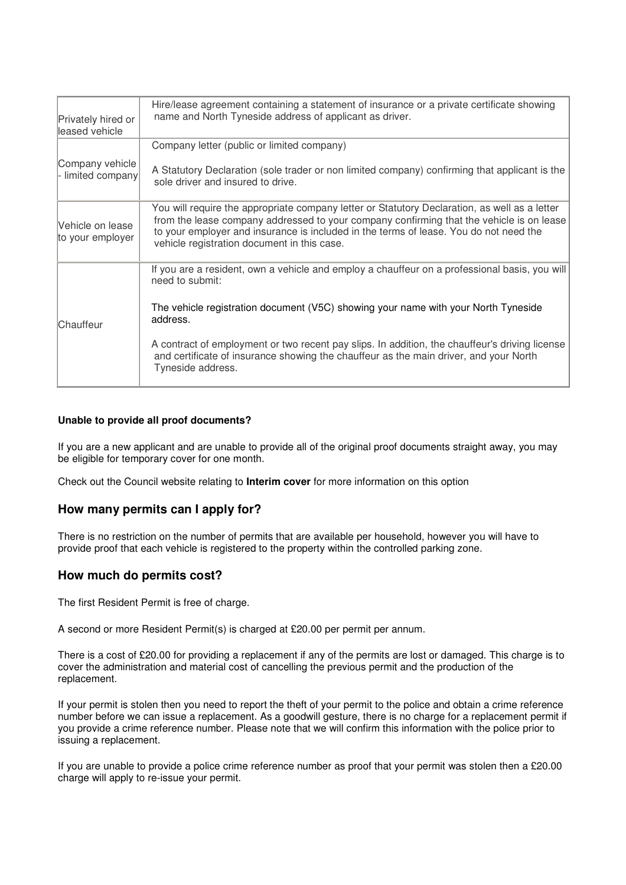| Privately hired or<br>leased vehicle | Hire/lease agreement containing a statement of insurance or a private certificate showing<br>name and North Tyneside address of applicant as driver.                                                                                                                                                                              |
|--------------------------------------|-----------------------------------------------------------------------------------------------------------------------------------------------------------------------------------------------------------------------------------------------------------------------------------------------------------------------------------|
|                                      | Company letter (public or limited company)                                                                                                                                                                                                                                                                                        |
| Company vehicle<br>- limited company | A Statutory Declaration (sole trader or non limited company) confirming that applicant is the<br>sole driver and insured to drive.                                                                                                                                                                                                |
| Vehicle on lease<br>to your employer | You will require the appropriate company letter or Statutory Declaration, as well as a letter<br>from the lease company addressed to your company confirming that the vehicle is on lease<br>to your employer and insurance is included in the terms of lease. You do not need the<br>vehicle registration document in this case. |
| Chauffeur                            | If you are a resident, own a vehicle and employ a chauffeur on a professional basis, you will<br>need to submit:                                                                                                                                                                                                                  |
|                                      | The vehicle registration document (V5C) showing your name with your North Tyneside<br>address.                                                                                                                                                                                                                                    |
|                                      | A contract of employment or two recent pay slips. In addition, the chauffeur's driving license<br>and certificate of insurance showing the chauffeur as the main driver, and your North<br>Tyneside address.                                                                                                                      |

#### **Unable to provide all proof documents?**

If you are a new applicant and are unable to provide all of the original proof documents straight away, you may be eligible for temporary cover for one month.

Check out the Council website relating to **Interim cover** for more information on this option

### **How many permits can I apply for?**

There is no restriction on the number of permits that are available per household, however you will have to provide proof that each vehicle is registered to the property within the controlled parking zone.

#### **How much do permits cost?**

The first Resident Permit is free of charge.

A second or more Resident Permit(s) is charged at £20.00 per permit per annum.

There is a cost of £20.00 for providing a replacement if any of the permits are lost or damaged. This charge is to cover the administration and material cost of cancelling the previous permit and the production of the replacement.

If your permit is stolen then you need to report the theft of your permit to the police and obtain a crime reference number before we can issue a replacement. As a goodwill gesture, there is no charge for a replacement permit if you provide a crime reference number. Please note that we will confirm this information with the police prior to issuing a replacement.

If you are unable to provide a police crime reference number as proof that your permit was stolen then a £20.00 charge will apply to re-issue your permit.